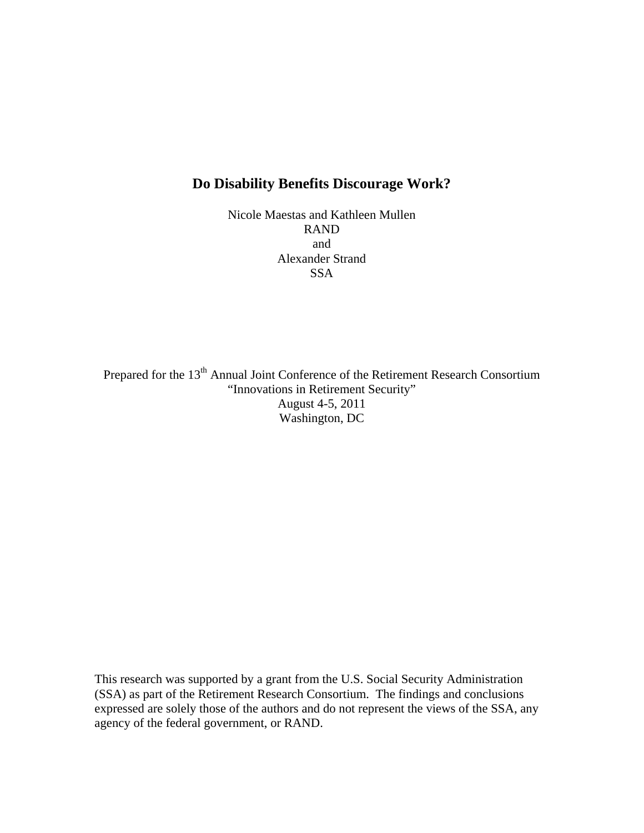## **Do Disability Benefits Discourage Work?**

Nicole Maestas and Kathleen Mullen RAND and Alexander Strand SSA

Prepared for the 13<sup>th</sup> Annual Joint Conference of the Retirement Research Consortium "Innovations in Retirement Security" August 4-5, 2011 Washington, DC

This research was supported by a grant from the U.S. Social Security Administration (SSA) as part of the Retirement Research Consortium. The findings and conclusions expressed are solely those of the authors and do not represent the views of the SSA, any agency of the federal government, or RAND.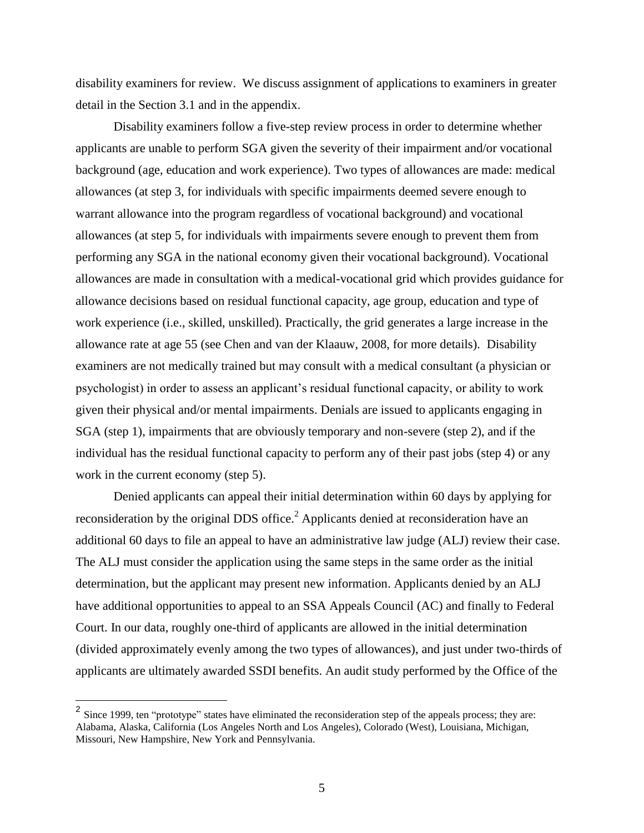disability examiners for review. We discuss assignment of applications to examiners in greater detail in the Section 3.1 and in the appendix.

Disability examiners follow a five-step review process in order to determine whether applicants are unable to perform SGA given the severity of their impairment and/or vocational background (age, education and work experience). Two types of allowances are made: medical allowances (at step 3, for individuals with specific impairments deemed severe enough to warrant allowance into the program regardless of vocational background) and vocational allowances (at step 5, for individuals with impairments severe enough to prevent them from performing any SGA in the national economy given their vocational background). Vocational allowances are made in consultation with a medical-vocational grid which provides guidance for allowance decisions based on residual functional capacity, age group, education and type of work experience (i.e., skilled, unskilled). Practically, the grid generates a large increase in the allowance rate at age 55 (see Chen and van der Klaauw, 2008, for more details). Disability examiners are not medically trained but may consult with a medical consultant (a physician or psychologist) in order to assess an applicant's residual functional capacity, or ability to work given their physical and/or mental impairments. Denials are issued to applicants engaging in SGA (step 1), impairments that are obviously temporary and non-severe (step 2), and if the individual has the residual functional capacity to perform any of their past jobs (step 4) or any work in the current economy (step 5).

Denied applicants can appeal their initial determination within 60 days by applying for reconsideration by the original DDS office.<sup>2</sup> Applicants denied at reconsideration have an additional 60 days to file an appeal to have an administrative law judge (ALJ) review their case. The ALJ must consider the application using the same steps in the same order as the initial determination, but the applicant may present new information. Applicants denied by an ALJ have additional opportunities to appeal to an SSA Appeals Council (AC) and finally to Federal Court. In our data, roughly one-third of applicants are allowed in the initial determination (divided approximately evenly among the two types of allowances), and just under two-thirds of applicants are ultimately awarded SSDI benefits. An audit study performed by the Office of the

<sup>&</sup>lt;sup>2</sup> Since 1999, ten "prototype" states have eliminated the reconsideration step of the appeals process; they are: Alabama, Alaska, California (Los Angeles North and Los Angeles), Colorado (West), Louisiana, Michigan, Missouri, New Hampshire, New York and Pennsylvania.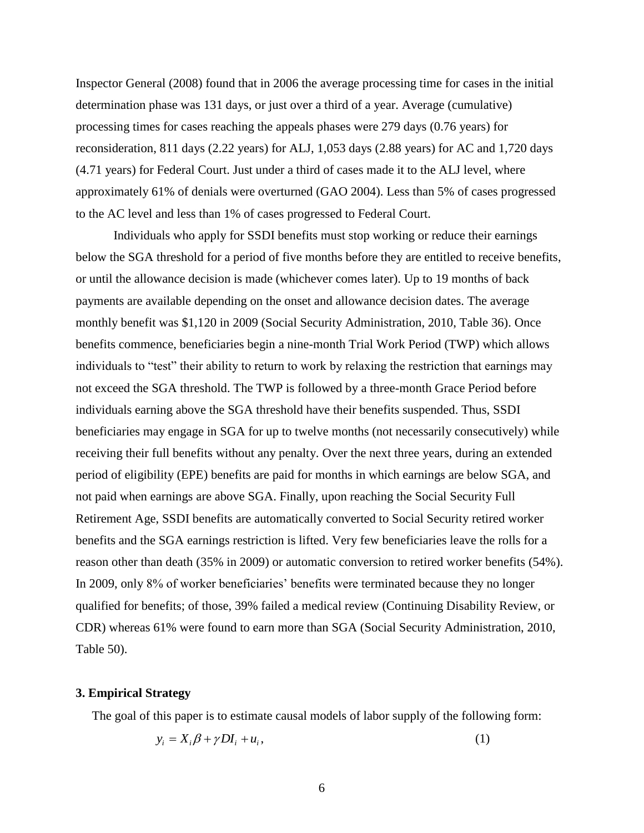Inspector General (2008) found that in 2006 the average processing time for cases in the initial determination phase was 131 days, or just over a third of a year. Average (cumulative) processing times for cases reaching the appeals phases were 279 days (0.76 years) for reconsideration, 811 days (2.22 years) for ALJ, 1,053 days (2.88 years) for AC and 1,720 days (4.71 years) for Federal Court. Just under a third of cases made it to the ALJ level, where approximately 61% of denials were overturned (GAO 2004). Less than 5% of cases progressed to the AC level and less than 1% of cases progressed to Federal Court.

Individuals who apply for SSDI benefits must stop working or reduce their earnings below the SGA threshold for a period of five months before they are entitled to receive benefits, or until the allowance decision is made (whichever comes later). Up to 19 months of back payments are available depending on the onset and allowance decision dates. The average monthly benefit was \$1,120 in 2009 (Social Security Administration, 2010, Table 36). Once benefits commence, beneficiaries begin a nine-month Trial Work Period (TWP) which allows individuals to "test" their ability to return to work by relaxing the restriction that earnings may not exceed the SGA threshold. The TWP is followed by a three-month Grace Period before individuals earning above the SGA threshold have their benefits suspended. Thus, SSDI beneficiaries may engage in SGA for up to twelve months (not necessarily consecutively) while receiving their full benefits without any penalty. Over the next three years, during an extended period of eligibility (EPE) benefits are paid for months in which earnings are below SGA, and not paid when earnings are above SGA. Finally, upon reaching the Social Security Full Retirement Age, SSDI benefits are automatically converted to Social Security retired worker benefits and the SGA earnings restriction is lifted. Very few beneficiaries leave the rolls for a reason other than death (35% in 2009) or automatic conversion to retired worker benefits (54%). In 2009, only 8% of worker beneficiaries' benefits were terminated because they no longer qualified for benefits; of those, 39% failed a medical review (Continuing Disability Review, or CDR) whereas 61% were found to earn more than SGA (Social Security Administration, 2010, Table 50).

## **3. Empirical Strategy**

The goal of this paper is to estimate causal models of labor supply of the following form:

$$
y_i = X_i \beta + \gamma D I_i + u_i, \qquad (1)
$$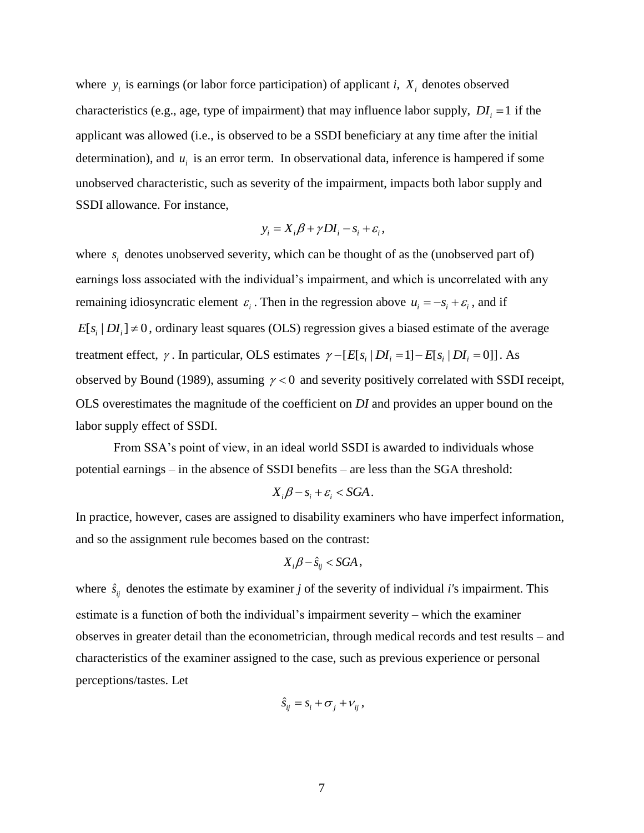where  $y_i$  is earnings (or labor force participation) of applicant *i*,  $X_i$  denotes observed characteristics (e.g., age, type of impairment) that may influence labor supply,  $DI_i = 1$  if the applicant was allowed (i.e., is observed to be a SSDI beneficiary at any time after the initial determination), and  $u_i$  is an error term. In observational data, inference is hampered if some unobserved characteristic, such as severity of the impairment, impacts both labor supply and SSDI allowance. For instance,

$$
y_i = X_i \beta + \gamma D I_i - s_i + \varepsilon_i,
$$

where  $s_i$  denotes unobserved severity, which can be thought of as the (unobserved part of) earnings loss associated with the individual's impairment, and which is uncorrelated with any remaining idiosyncratic element  $\varepsilon_i$ . Then in the regression above  $u_i = -s_i + \varepsilon_i$ , and if  $E[s_i | DI_i] \neq 0$ , ordinary least squares (OLS) regression gives a biased estimate of the average treatment effect,  $\gamma$ . In particular, OLS estimates  $\gamma - [E[s_i | D I_i = 1] - E[s_i | D I_i = 0]]$ . As observed by Bound (1989), assuming  $\gamma < 0$  and severity positively correlated with SSDI receipt, OLS overestimates the magnitude of the coefficient on *DI* and provides an upper bound on the labor supply effect of SSDI.

From SSA's point of view, in an ideal world SSDI is awarded to individuals whose potential earnings – in the absence of SSDI benefits – are less than the SGA threshold:

$$
X_i\beta - s_i + \varepsilon_i < SGA.
$$

In practice, however, cases are assigned to disability examiners who have imperfect information, and so the assignment rule becomes based on the contrast:

$$
X_{i}\beta - \hat{s}_{ij} < SGA,
$$

where  $\hat{s}_{ij}$  denotes the estimate by examiner *j* of the severity of individual *i's* impairment. This estimate is a function of both the individual's impairment severity – which the examiner observes in greater detail than the econometrician, through medical records and test results – and characteristics of the examiner assigned to the case, such as previous experience or personal perceptions/tastes. Let

$$
\hat{S}_{ij} = S_i + \sigma_j + V_{ij},
$$